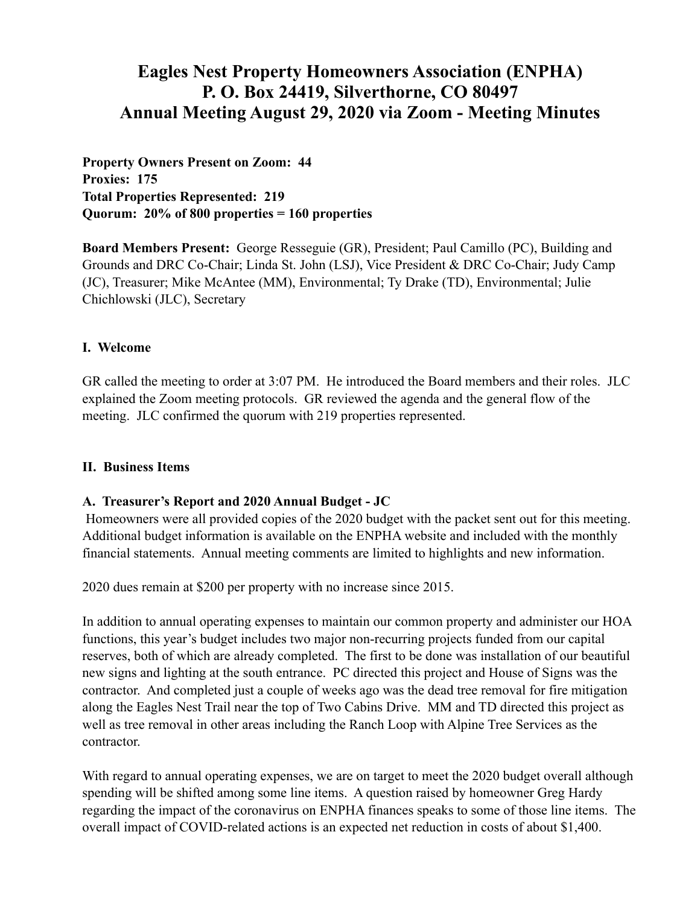# **Eagles Nest Property Homeowners Association (ENPHA) P. O. Box 24419, Silverthorne, CO 80497 Annual Meeting August 29, 2020 via Zoom - Meeting Minutes**

**Property Owners Present on Zoom: 44 Proxies: 175 Total Properties Represented: 219 Quorum: 20% of 800 properties = 160 properties** 

**Board Members Present:** George Resseguie (GR), President; Paul Camillo (PC), Building and Grounds and DRC Co-Chair; Linda St. John (LSJ), Vice President & DRC Co-Chair; Judy Camp (JC), Treasurer; Mike McAntee (MM), Environmental; Ty Drake (TD), Environmental; Julie Chichlowski (JLC), Secretary

### **I. Welcome**

GR called the meeting to order at 3:07 PM. He introduced the Board members and their roles. JLC explained the Zoom meeting protocols. GR reviewed the agenda and the general flow of the meeting. JLC confirmed the quorum with 219 properties represented.

#### **II. Business Items**

#### **A. Treasurer's Report and 2020 Annual Budget - JC**

 Homeowners were all provided copies of the 2020 budget with the packet sent out for this meeting. Additional budget information is available on the ENPHA website and included with the monthly financial statements. Annual meeting comments are limited to highlights and new information.

2020 dues remain at \$200 per property with no increase since 2015.

In addition to annual operating expenses to maintain our common property and administer our HOA functions, this year's budget includes two major non-recurring projects funded from our capital reserves, both of which are already completed. The first to be done was installation of our beautiful new signs and lighting at the south entrance. PC directed this project and House of Signs was the contractor. And completed just a couple of weeks ago was the dead tree removal for fire mitigation along the Eagles Nest Trail near the top of Two Cabins Drive. MM and TD directed this project as well as tree removal in other areas including the Ranch Loop with Alpine Tree Services as the contractor.

With regard to annual operating expenses, we are on target to meet the 2020 budget overall although spending will be shifted among some line items. A question raised by homeowner Greg Hardy regarding the impact of the coronavirus on ENPHA finances speaks to some of those line items. The overall impact of COVID-related actions is an expected net reduction in costs of about \$1,400.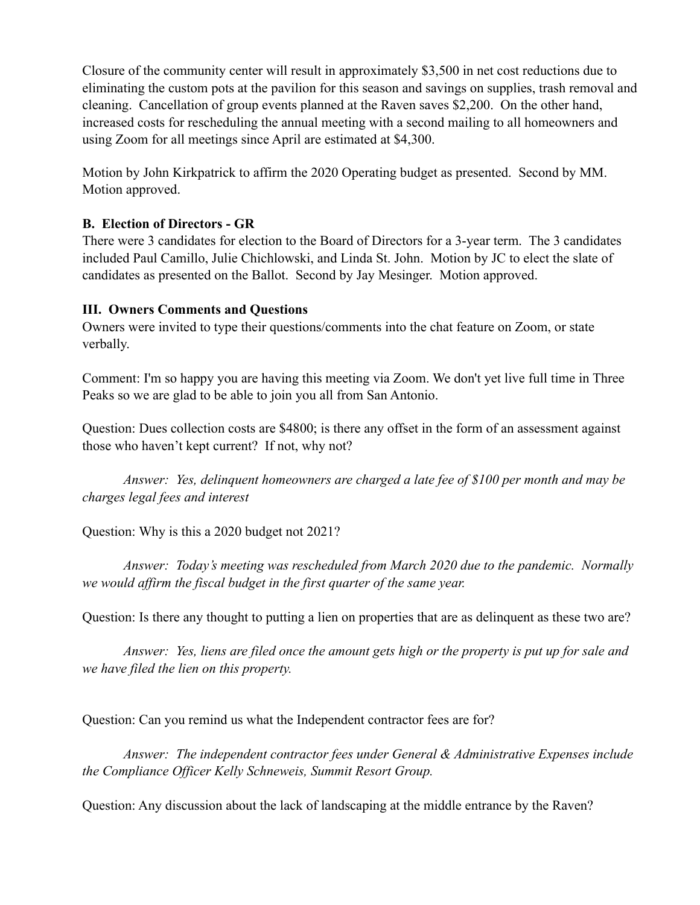Closure of the community center will result in approximately \$3,500 in net cost reductions due to eliminating the custom pots at the pavilion for this season and savings on supplies, trash removal and cleaning. Cancellation of group events planned at the Raven saves \$2,200. On the other hand, increased costs for rescheduling the annual meeting with a second mailing to all homeowners and using Zoom for all meetings since April are estimated at \$4,300.

Motion by John Kirkpatrick to affirm the 2020 Operating budget as presented. Second by MM. Motion approved.

## **B. Election of Directors - GR**

There were 3 candidates for election to the Board of Directors for a 3-year term. The 3 candidates included Paul Camillo, Julie Chichlowski, and Linda St. John. Motion by JC to elect the slate of candidates as presented on the Ballot. Second by Jay Mesinger. Motion approved.

### **III. Owners Comments and Questions**

Owners were invited to type their questions/comments into the chat feature on Zoom, or state verbally.

Comment: I'm so happy you are having this meeting via Zoom. We don't yet live full time in Three Peaks so we are glad to be able to join you all from San Antonio.

Question: Dues collection costs are \$4800; is there any offset in the form of an assessment against those who haven't kept current? If not, why not?

*Answer: Yes, delinquent homeowners are charged a late fee of \$100 per month and may be charges legal fees and interest* 

Question: Why is this a 2020 budget not 2021?

 *Answer: Today's meeting was rescheduled from March 2020 due to the pandemic. Normally we would affirm the fiscal budget in the first quarter of the same year.* 

Question: Is there any thought to putting a lien on properties that are as delinquent as these two are?

*Answer: Yes, liens are filed once the amount gets high or the property is put up for sale and we have filed the lien on this property.* 

Question: Can you remind us what the Independent contractor fees are for?

*Answer: The independent contractor fees under General & Administrative Expenses include the Compliance Officer Kelly Schneweis, Summit Resort Group.* 

Question: Any discussion about the lack of landscaping at the middle entrance by the Raven?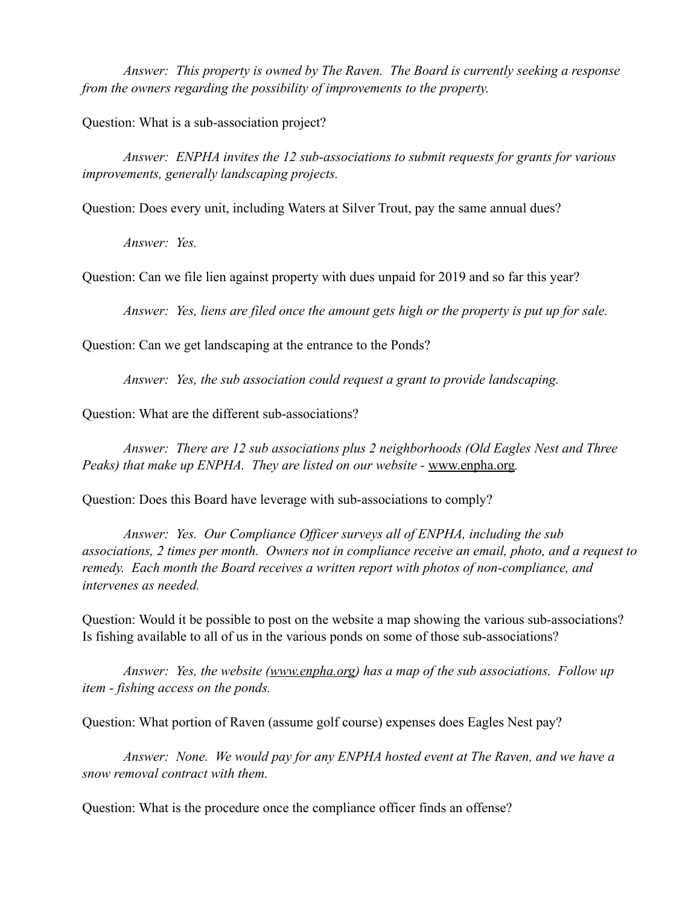*Answer: This property is owned by The Raven. The Board is currently seeking a response from the owners regarding the possibility of improvements to the property.* 

Question: What is a sub-association project?

*Answer: ENPHA invites the 12 sub-associations to submit requests for grants for various improvements, generally landscaping projects.* 

Question: Does every unit, including Waters at Silver Trout, pay the same annual dues?

*Answer: Yes.* 

Question: Can we file lien against property with dues unpaid for 2019 and so far this year?

*Answer: Yes, liens are filed once the amount gets high or the property is put up for sale.* 

Question: Can we get landscaping at the entrance to the Ponds?

*Answer: Yes, the sub association could request a grant to provide landscaping.* 

Question: What are the different sub-associations?

*Answer: There are 12 sub associations plus 2 neighborhoods (Old Eagles Nest and Three Peaks) that make up ENPHA. They are listed on our website - [www.enpha.org](http://www.enpha.org).* 

Question: Does this Board have leverage with sub-associations to comply?

*Answer: Yes. Our Compliance Officer surveys all of ENPHA, including the sub associations, 2 times per month. Owners not in compliance receive an email, photo, and a request to remedy. Each month the Board receives a written report with photos of non-compliance, and intervenes as needed.* 

Question: Would it be possible to post on the website a map showing the various sub-associations? Is fishing available to all of us in the various ponds on some of those sub-associations?

*Answer: Yes, the website [\(www.enpha.org\)](http://www.enpha.org) has a map of the sub associations. Follow up item - fishing access on the ponds.* 

Question: What portion of Raven (assume golf course) expenses does Eagles Nest pay?

*Answer: None. We would pay for any ENPHA hosted event at The Raven, and we have a snow removal contract with them.* 

Question: What is the procedure once the compliance officer finds an offense?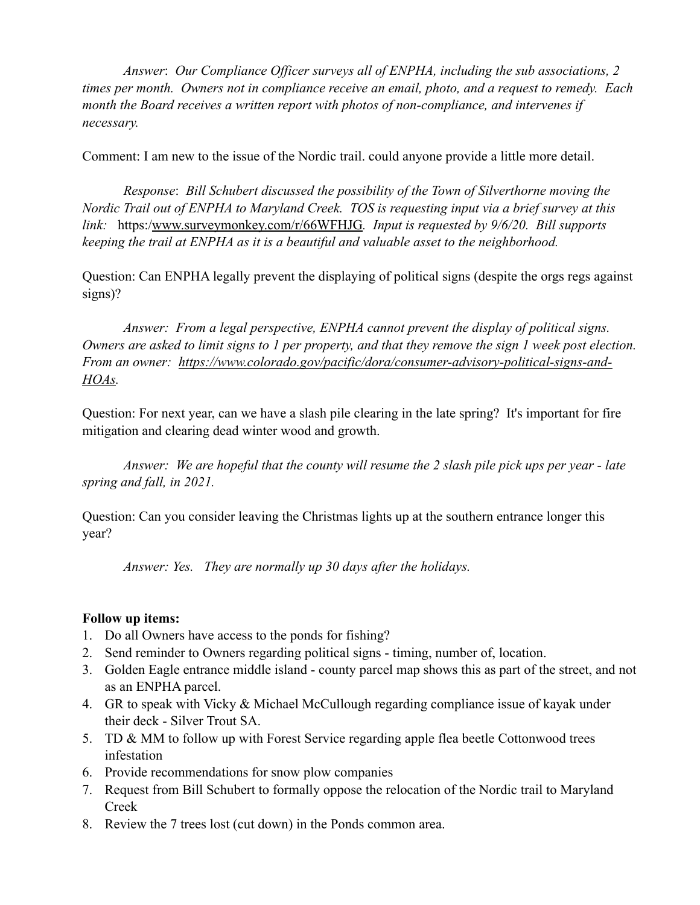*Answer*: *Our Compliance Officer surveys all of ENPHA, including the sub associations, 2 times per month. Owners not in compliance receive an email, photo, and a request to remedy. Each month the Board receives a written report with photos of non-compliance, and intervenes if necessary.* 

Comment: I am new to the issue of the Nordic trail. could anyone provide a little more detail.

*Response*: *Bill Schubert discussed the possibility of the Town of Silverthorne moving the Nordic Trail out of ENPHA to Maryland Creek. TOS is requesting input via a brief survey at this link:* https:/[www.surveymonkey.com/r/66WFHJG](http://www.surveymonkey.com/r/66WFHJG)*. Input is requested by 9/6/20. Bill supports keeping the trail at ENPHA as it is a beautiful and valuable asset to the neighborhood.* 

Question: Can ENPHA legally prevent the displaying of political signs (despite the orgs regs against signs)?

*Answer: From a legal perspective, ENPHA cannot prevent the display of political signs. Owners are asked to limit signs to 1 per property, and that they remove the sign 1 week post election. From an owner: [https://www.colorado.gov/pacific/dora/consumer-advisory-political-signs-and-](https://www.colorado.gov/pacific/dora/consumer-advisory-political-signs-and-HOAs)[HOAs](https://www.colorado.gov/pacific/dora/consumer-advisory-political-signs-and-HOAs).* 

Question: For next year, can we have a slash pile clearing in the late spring? It's important for fire mitigation and clearing dead winter wood and growth.

*Answer: We are hopeful that the county will resume the 2 slash pile pick ups per year - late spring and fall, in 2021.* 

Question: Can you consider leaving the Christmas lights up at the southern entrance longer this year?

*Answer: Yes. They are normally up 30 days after the holidays.* 

## **Follow up items:**

- 1. Do all Owners have access to the ponds for fishing?
- 2. Send reminder to Owners regarding political signs timing, number of, location.
- 3. Golden Eagle entrance middle island county parcel map shows this as part of the street, and not as an ENPHA parcel.
- 4. GR to speak with Vicky & Michael McCullough regarding compliance issue of kayak under their deck - Silver Trout SA.
- 5. TD & MM to follow up with Forest Service regarding apple flea beetle Cottonwood trees infestation
- 6. Provide recommendations for snow plow companies
- 7. Request from Bill Schubert to formally oppose the relocation of the Nordic trail to Maryland Creek
- 8. Review the 7 trees lost (cut down) in the Ponds common area.